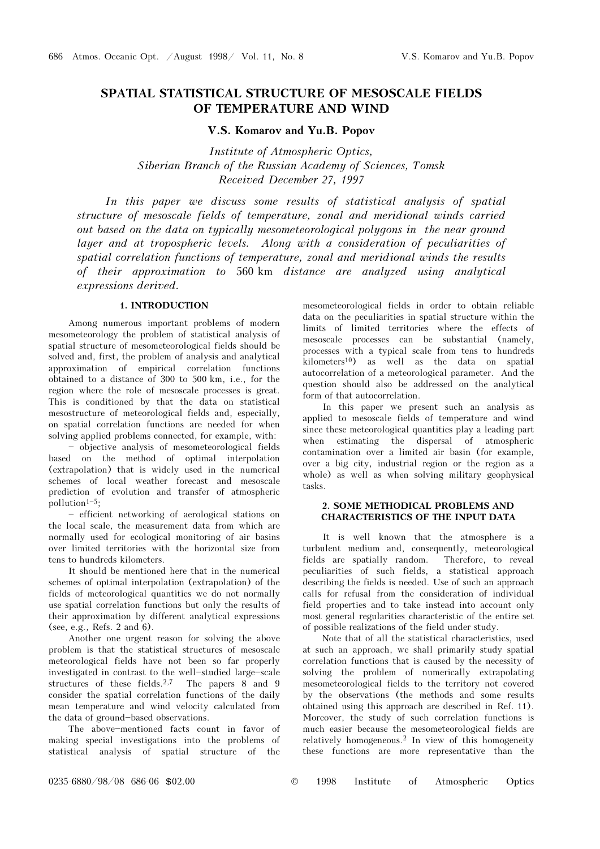# SPATIAL STATISTICAL STRUCTURE OF MESOSCALE FIELDS OF TEMPERATURE AND WIND

## V.S. Komarov and Yu.B. Popov

Institute of Atmospheric Optics, Siberian Branch of the Russian Academy of Sciences, Tomsk Received December 27, 1997

In this paper we discuss some results of statistical analysis of spatial structure of mesoscale fields of temperature, zonal and meridional winds carried out based on the data on typically mesometeorological polygons in the near ground layer and at tropospheric levels. Along with a consideration of peculiarities of spatial correlation functions of temperature, zonal and meridional winds the results of their approximation to 560 km distance are analyzed using analytical expressions derived.

### 1. INTRODUCTION

Among numerous important problems of modern mesometeorology the problem of statistical analysis of spatial structure of mesometeorological fields should be solved and, first, the problem of analysis and analytical approximation of empirical correlation functions obtained to a distance of 300 to 500 km, i.e., for the region where the role of mesoscale processes is great. This is conditioned by that the data on statistical mesostructure of meteorological fields and, especially, on spatial correlation functions are needed for when solving applied problems connected, for example, with:

- objective analysis of mesometeorological fields based on the method of optimal interpolation (extrapolation) that is widely used in the numerical schemes of local weather forecast and mesoscale prediction of evolution and transfer of atmospheric pollution $1-5$ ;

- efficient networking of aerological stations on the local scale, the measurement data from which are normally used for ecological monitoring of air basins over limited territories with the horizontal size from tens to hundreds kilometers.

It should be mentioned here that in the numerical schemes of optimal interpolation (extrapolation) of the fields of meteorological quantities we do not normally use spatial correlation functions but only the results of their approximation by different analytical expressions (see, e.g., Refs. 2 and 6).

Another one urgent reason for solving the above problem is that the statistical structures of mesoscale meteorological fields have not been so far properly investigated in contrast to the well-studied large-scale structures of these fields.<sup>2,7</sup> The papers 8 and 9 consider the spatial correlation functions of the daily mean temperature and wind velocity calculated from the data of ground-based observations.

The above-mentioned facts count in favor of making special investigations into the problems of statistical analysis of spatial structure of the mesometeorological fields in order to obtain reliable data on the peculiarities in spatial structure within the limits of limited territories where the effects of mesoscale processes can be substantial (namely, processes with a typical scale from tens to hundreds  $kilometers<sup>10</sup>)$  as well as the data on spatial autocorrelation of a meteorological parameter. And the question should also be addressed on the analytical form of that autocorrelation.

In this paper we present such an analysis as applied to mesoscale fields of temperature and wind since these meteorological quantities play a leading part when estimating the dispersal of atmospheric contamination over a limited air basin (for example, over a big city, industrial region or the region as a whole) as well as when solving military geophysical tasks.

## 2. SOME METHODICAL PROBLEMS AND CHARACTERISTICS OF THE INPUT DATA

It is well known that the atmosphere is a turbulent medium and, consequently, meteorological fields are spatially random. Therefore, to reveal peculiarities of such fields, a statistical approach describing the fields is needed. Use of such an approach calls for refusal from the consideration of individual field properties and to take instead into account only most general regularities characteristic of the entire set of possible realizations of the field under study.

Note that of all the statistical characteristics, used at such an approach, we shall primarily study spatial correlation functions that is caused by the necessity of solving the problem of numerically extrapolating mesometeorological fields to the territory not covered by the observations (the methods and some results obtained using this approach are described in Ref. 11). Moreover, the study of such correlation functions is much easier because the mesometeorological fields are relatively homogeneous.2 In view of this homogeneity these functions are more representative than the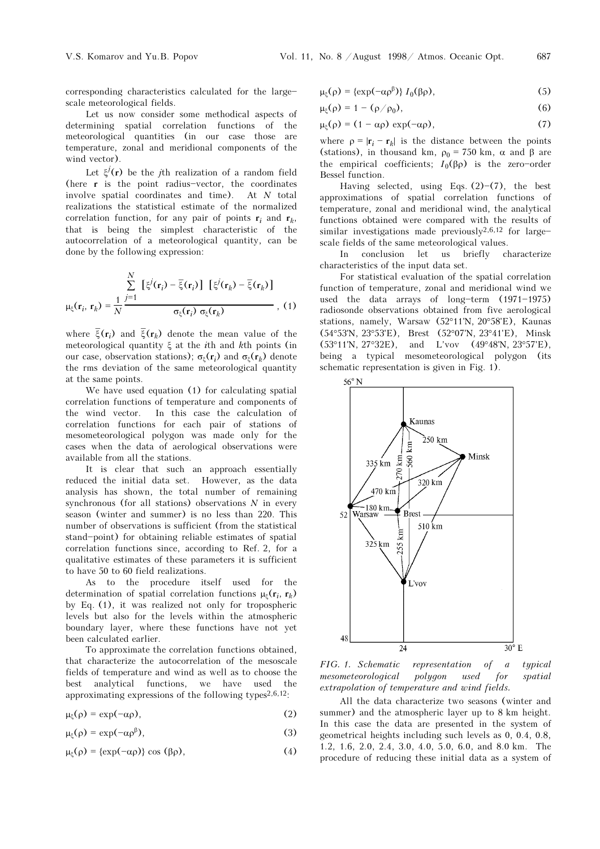corresponding characteristics calculated for the largescale meteorological fields.

Let us now consider some methodical aspects of determining spatial correlation functions of the meteorological quantities (in our case those are temperature, zonal and meridional components of the wind vector).

Let  $\xi^{j}(\mathbf{r})$  be the *j*th realization of a random field (here  $r$  is the point radius-vector, the coordinates involve spatial coordinates and time). At N total realizations the statistical estimate of the normalized correlation function, for any pair of points  $\mathbf{r}_i$  and  $\mathbf{r}_k$ , that is being the simplest characteristic of the autocorrelation of a meteorological quantity, can be done by the following expression:

$$
\mu_{\xi}(\mathbf{r}_i, \mathbf{r}_k) = \frac{1}{N} \frac{\sum_{j=1}^N \left[ \xi^j(\mathbf{r}_i) - \overline{\xi}(\mathbf{r}_i) \right] \left[ \xi^j(\mathbf{r}_k) - \overline{\xi}(\mathbf{r}_k) \right]}{\sigma_{\xi}(\mathbf{r}_i) \sigma_{\xi}(\mathbf{r}_k)},
$$
(1)

where  $\bar{\xi}(\mathbf{r}_i)$  and  $\bar{\xi}(\mathbf{r}_k)$  denote the mean value of the meteorological quantity ξ at the ith and kth points (in our case, observation stations);  $\sigma_{\varepsilon}(\mathbf{r}_i)$  and  $\sigma_{\varepsilon}(\mathbf{r}_k)$  denote the rms deviation of the same meteorological quantity at the same points.

We have used equation (1) for calculating spatial correlation functions of temperature and components of the wind vector. In this case the calculation of correlation functions for each pair of stations of mesometeorological polygon was made only for the cases when the data of aerological observations were available from all the stations.

It is clear that such an approach essentially reduced the initial data set. However, as the data analysis has shown, the total number of remaining synchronous (for all stations) observations  $N$  in every season (winter and summer) is no less than 220. This number of observations is sufficient (from the statistical stand-point) for obtaining reliable estimates of spatial correlation functions since, according to Ref. 2, for a qualitative estimates of these parameters it is sufficient to have 50 to 60 field realizations.

As to the procedure itself used for the determination of spatial correlation functions  $\mu$ <sub> $\epsilon$ </sub>( $\mathbf{r}_i$ ,  $\mathbf{r}_k$ ) by Eq. (1), it was realized not only for tropospheric levels but also for the levels within the atmospheric boundary layer, where these functions have not yet been calculated earlier.

To approximate the correlation functions obtained, that characterize the autocorrelation of the mesoscale fields of temperature and wind as well as to choose the best analytical functions, we have used the approximating expressions of the following types<sup>2,6,12</sup>:

$$
\mu_{\xi}(\rho) = \exp(-\alpha \rho), \tag{2}
$$

$$
\mu_{\xi}(\rho) = \exp(-\alpha \rho^{\beta}),\tag{3}
$$

$$
\mu_{\xi}(\rho) = \{\exp(-\alpha \rho)\} \cos(\beta \rho), \tag{4}
$$

$$
\mu_{\xi}(\rho) = \{\exp(-\alpha \rho^{\beta})\} I_0(\beta \rho), \qquad (5)
$$

$$
\mu_{\xi}(\rho) = 1 - (\rho/\rho_0), \qquad (6)
$$

$$
\mu_{\xi}(\rho) = (1 - \alpha \rho) \exp(-\alpha \rho), \qquad (7)
$$

where  $p = |\mathbf{r}_i - \mathbf{r}_k|$  is the distance between the points (stations), in thousand km,  $\rho_0 = 750$  km,  $\alpha$  and  $\beta$  are the empirical coefficients;  $I_0(\beta \rho)$  is the zero-order Bessel function.

Having selected, using Eqs.  $(2)$ – $(7)$ , the best approximations of spatial correlation functions of temperature, zonal and meridional wind, the analytical functions obtained were compared with the results of similar investigations made previously $2,6,12$  for largescale fields of the same meteorological values.

In conclusion let us briefly characterize characteristics of the input data set.

For statistical evaluation of the spatial correlation function of temperature, zonal and meridional wind we used the data arrays of long-term  $(1971-1975)$ radiosonde observations obtained from five aerological stations, namely, Warsaw (52°11'N, 20°58'E), Kaunas (54°53'N, 23°53'E), Brest (52°07'N, 23°41'E), Minsk (53°11'N, 27°32E), and L'vov (49°48'N, 23°57'E), being a typical mesometeorological polygon (its schematic representation is given in Fig. 1).



FIG. 1. Schematic representation of a typical mesometeorological polygon used for spatial extrapolation of temperature and wind fields.

All the data characterize two seasons (winter and summer) and the atmospheric layer up to 8 km height. In this case the data are presented in the system of geometrical heights including such levels as 0, 0.4, 0.8, 1.2, 1.6, 2.0, 2.4, 3.0, 4.0, 5.0, 6.0, and 8.0 km. The procedure of reducing these initial data as a system of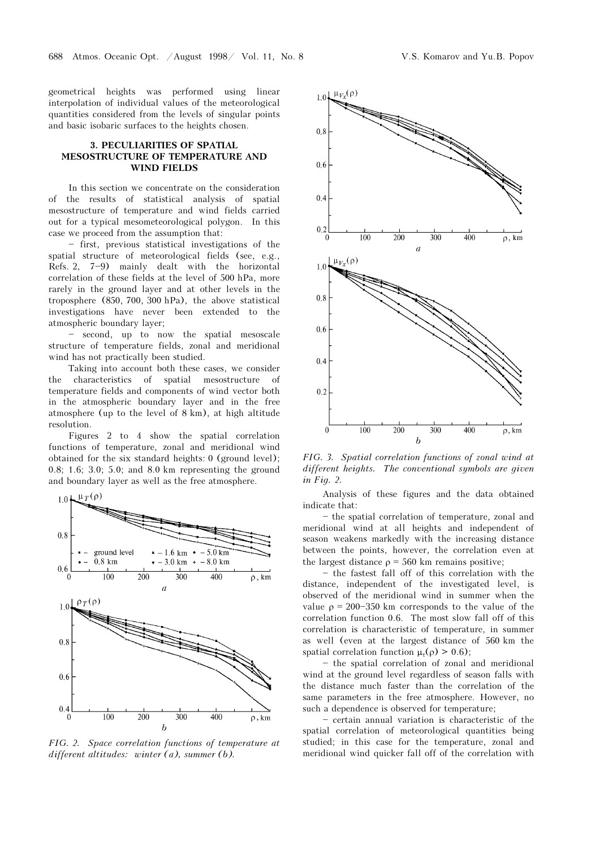geometrical heights was performed using linear interpolation of individual values of the meteorological quantities considered from the levels of singular points and basic isobaric surfaces to the heights chosen.

#### 3. PECULIARITIES OF SPATIAL MESOSTRUCTURE OF TEMPERATURE AND WIND FIELDS

In this section we concentrate on the consideration of the results of statistical analysis of spatial mesostructure of temperature and wind fields carried out for a typical mesometeorological polygon. In this case we proceed from the assumption that:

 $-$  first, previous statistical investigations of the spatial structure of meteorological fields (see, e.g., Refs. 2,  $7-9$ ) mainly dealt with the horizontal correlation of these fields at the level of 500 hPa, more rarely in the ground layer and at other levels in the troposphere (850, 700, 300 hPa), the above statistical investigations have never been extended to the atmospheric boundary layer;

- second, up to now the spatial mesoscale structure of temperature fields, zonal and meridional wind has not practically been studied.

Taking into account both these cases, we consider the characteristics of spatial mesostructure of temperature fields and components of wind vector both in the atmospheric boundary layer and in the free atmosphere (up to the level of 8 km), at high altitude resolution.

Figures 2 to 4 show the spatial correlation functions of temperature, zonal and meridional wind obtained for the six standard heights: 0 (ground level); 0.8; 1.6; 3.0; 5.0; and 8.0 km representing the ground and boundary layer as well as the free atmosphere.



FIG. 2. Space correlation functions of temperature at different altitudes: winter (a), summer (b).



FIG. 3. Spatial correlation functions of zonal wind at different heights. The conventional symbols are given in Fig. 2.

Analysis of these figures and the data obtained indicate that:

- the spatial correlation of temperature, zonal and meridional wind at all heights and independent of season weakens markedly with the increasing distance between the points, however, the correlation even at the largest distance  $\rho = 560$  km remains positive;

- the fastest fall off of this correlation with the distance, independent of the investigated level, is observed of the meridional wind in summer when the value  $\rho = 200 - 350$  km corresponds to the value of the correlation function 0.6. The most slow fall off of this correlation is characteristic of temperature, in summer as well (even at the largest distance of 560 km the spatial correlation function  $\mu_{\tau}(\rho) > 0.6$ ;

- the spatial correlation of zonal and meridional wind at the ground level regardless of season falls with the distance much faster than the correlation of the same parameters in the free atmosphere. However, no such a dependence is observed for temperature;

 $-$  certain annual variation is characteristic of the spatial correlation of meteorological quantities being studied; in this case for the temperature, zonal and meridional wind quicker fall off of the correlation with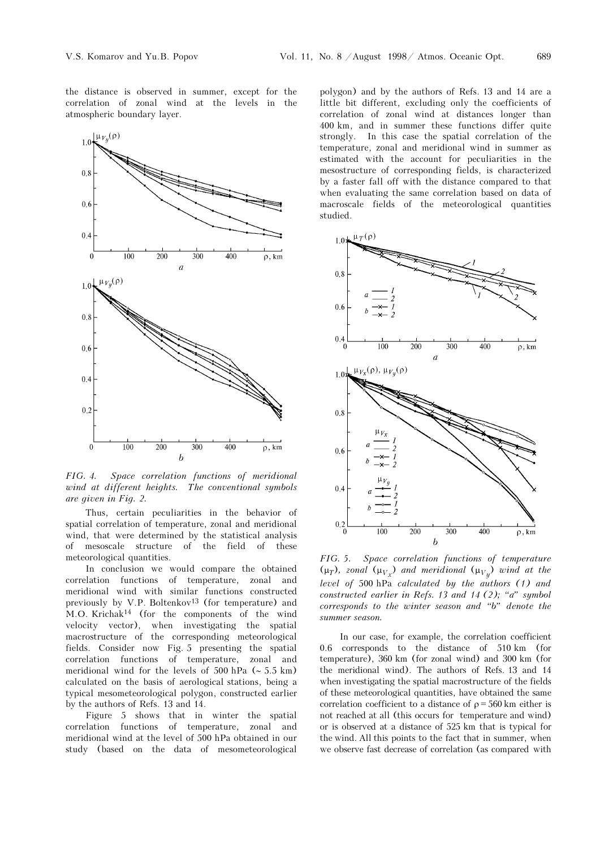the distance is observed in summer, except for the correlation of zonal wind at the levels in the atmospheric boundary layer.



FIG. 4. Space correlation functions of meridional wind at different heights. The conventional symbols are given in Fig. 2.

Thus, certain peculiarities in the behavior of spatial correlation of temperature, zonal and meridional wind, that were determined by the statistical analysis of mesoscale structure of the field of these meteorological quantities.

In conclusion we would compare the obtained correlation functions of temperature, zonal and meridional wind with similar functions constructed previously by V.P. Boltenkov<sup>13</sup> (for temperature) and M.O. Krichak14 (for the components of the wind velocity vector), when investigating the spatial macrostructure of the corresponding meteorological fields. Consider now Fig. 5 presenting the spatial correlation functions of temperature, zonal and meridional wind for the levels of 500 hPa (∼ 5.5 km) calculated on the basis of aerological stations, being a typical mesometeorological polygon, constructed earlier by the authors of Refs. 13 and 14.

Figure 5 shows that in winter the spatial correlation functions of temperature, zonal and meridional wind at the level of 500 hPa obtained in our study (based on the data of mesometeorological polygon) and by the authors of Refs. 13 and 14 are a little bit different, excluding only the coefficients of correlation of zonal wind at distances longer than 400 km, and in summer these functions differ quite strongly. In this case the spatial correlation of the temperature, zonal and meridional wind in summer as estimated with the account for peculiarities in the mesostructure of corresponding fields, is characterized by a faster fall off with the distance compared to that when evaluating the same correlation based on data of macroscale fields of the meteorological quantities studied.



FIG. 5. Space correlation functions of temperature ( $\mu_T$ ), zonal ( $\mu_{V_x}$ ) and meridional ( $\mu_{V_y}$ ) wind at the level of 500 hPa calculated by the authors (1) and constructed earlier in Refs. 13 and 14 (2); "a" symbol  $corresponds$  to the winter season and "b" denote the summer season.

In our case, for example, the correlation coefficient 0.6 corresponds to the distance of 510 km (for temperature), 360 km (for zonal wind) and 300 km (for the meridional wind). The authors of Refs. 13 and 14 when investigating the spatial macrostructure of the fields of these meteorological quantities, have obtained the same correlation coefficient to a distance of  $\rho = 560$  km either is not reached at all (this occurs for temperature and wind) or is observed at a distance of 525 km that is typical for the wind. All this points to the fact that in summer, when we observe fast decrease of correlation (as compared with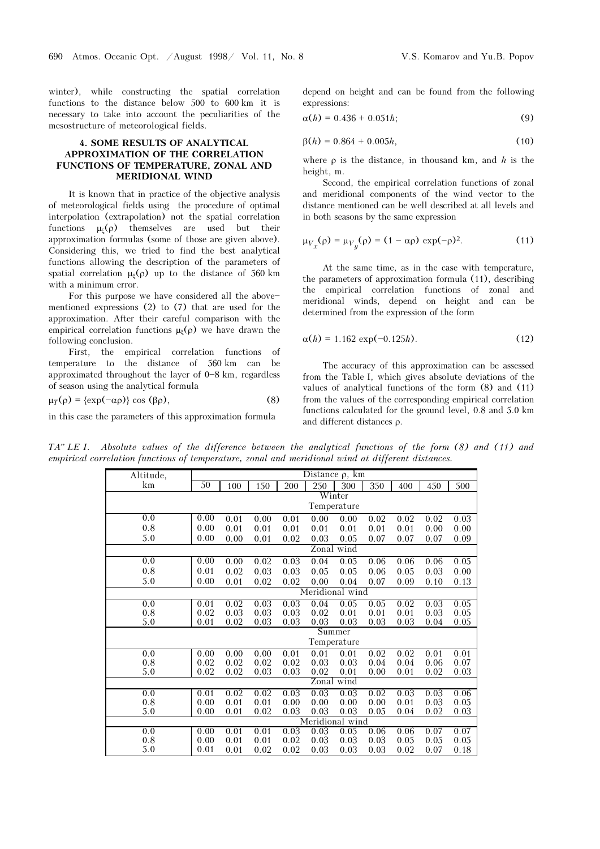winter), while constructing the spatial correlation functions to the distance below 500 to 600 km it is necessary to take into account the peculiarities of the mesostructure of meteorological fields.

### 4. SOME RESULTS OF ANALYTICAL APPROXIMATION OF THE CORRELATION FUNCTIONS OF TEMPERATURE, ZONAL AND MERIDIONAL WIND

It is known that in practice of the objective analysis of meteorological fields using the procedure of optimal interpolation (extrapolation) not the spatial correlation functions  $\mu_{\varepsilon}(\rho)$  themselves are used but their approximation formulas (some of those are given above). Considering this, we tried to find the best analytical functions allowing the description of the parameters of spatial correlation  $\mu_{\xi}(\rho)$  up to the distance of 560 km with a minimum error.

For this purpose we have considered all the abovementioned expressions (2) to (7) that are used for the approximation. After their careful comparison with the empirical correlation functions  $\mu_{\varepsilon}(\rho)$  we have drawn the following conclusion.

First, the empirical correlation functions of temperature to the distance of 560 km can be approximated throughout the layer of  $0-8$  km, regardless of season using the analytical formula

 $\mu_{T}(\rho) = {\exp(-\alpha \rho)} \cos(\beta \rho),$  (8)

in this case the parameters of this approximation formula

depend on height and can be found from the following expressions:

$$
\alpha(h) = 0.436 + 0.051h; \tag{9}
$$

$$
\beta(h) = 0.864 + 0.005h, \tag{10}
$$

where  $\rho$  is the distance, in thousand km, and h is the height, m.

Second, the empirical correlation functions of zonal and meridional components of the wind vector to the distance mentioned can be well described at all levels and in both seasons by the same expression

$$
\mu_{V_x}(\rho) = \mu_{V_y}(\rho) = (1 - \alpha \rho) \exp(-\rho)^2.
$$
 (11)

At the same time, as in the case with temperature, the parameters of approximation formula (11), describing the empirical correlation functions of zonal and meridional winds, depend on height and can be determined from the expression of the form

$$
\alpha(h) = 1.162 \exp(-0.125h). \tag{12}
$$

The accuracy of this approximation can be assessed from the Table I, which gives absolute deviations of the values of analytical functions of the form (8) and (11) from the values of the corresponding empirical correlation functions calculated for the ground level, 0.8 and 5.0 km and different distances ρ.

 $TA''$  LE I. Absolute values of the difference between the analytical functions of the form  $(8)$  and  $(11)$  and empirical correlation functions of temperature, zonal and meridional wind at different distances.

| Altitude, | Distance $\rho$ , km |      |      |      |      |      |      |      |      |      |
|-----------|----------------------|------|------|------|------|------|------|------|------|------|
| km        | 50                   | 100  | 150  | 200  | 250  | 300  | 350  | 400  | 450  | 500  |
|           | Winter               |      |      |      |      |      |      |      |      |      |
|           | Temperature          |      |      |      |      |      |      |      |      |      |
| 0.0       | 0.00                 | 0.01 | 0.00 | 0.01 | 0.00 | 0.00 | 0.02 | 0.02 | 0.02 | 0.03 |
| 0.8       | 0.00                 | 0.01 | 0.01 | 0.01 | 0.01 | 0.01 | 0.01 | 0.01 | 0.00 | 0.00 |
| 5.0       | 0.00                 | 0.00 | 0.01 | 0.02 | 0.03 | 0.05 | 0.07 | 0.07 | 0.07 | 0.09 |
|           | Zonal wind           |      |      |      |      |      |      |      |      |      |
| 0.0       | 0.00                 | 0.00 | 0.02 | 0.03 | 0.04 | 0.05 | 0.06 | 0.06 | 0.06 | 0.05 |
| 0.8       | 0.01                 | 0.02 | 0.03 | 0.03 | 0.05 | 0.05 | 0.06 | 0.05 | 0.03 | 0.00 |
| 5.0       | 0.00                 | 0.01 | 0.02 | 0.02 | 0.00 | 0.04 | 0.07 | 0.09 | 0.10 | 0.13 |
|           | Meridional wind      |      |      |      |      |      |      |      |      |      |
| 0.0       | 0.01                 | 0.02 | 0.03 | 0.03 | 0.04 | 0.05 | 0.05 | 0.02 | 0.03 | 0.05 |
| 0.8       | 0.02                 | 0.03 | 0.03 | 0.03 | 0.02 | 0.01 | 0.01 | 0.01 | 0.03 | 0.05 |
| 5.0       | 0.01                 | 0.02 | 0.03 | 0.03 | 0.03 | 0.03 | 0.03 | 0.03 | 0.04 | 0.05 |
|           | Summer               |      |      |      |      |      |      |      |      |      |
|           | Temperature          |      |      |      |      |      |      |      |      |      |
| 0.0       | 0.00                 | 0.00 | 0.00 | 0.01 | 0.01 | 0.01 | 0.02 | 0.02 | 0.01 | 0.01 |
| 0.8       | 0.02                 | 0.02 | 0.02 | 0.02 | 0.03 | 0.03 | 0.04 | 0.04 | 0.06 | 0.07 |
| 5.0       | 0.02                 | 0.02 | 0.03 | 0.03 | 0.02 | 0.01 | 0.00 | 0.01 | 0.02 | 0.03 |
|           | wind<br>Zonal        |      |      |      |      |      |      |      |      |      |
| 0.0       | 0.01                 | 0.02 | 0.02 | 0.03 | 0.03 | 0.03 | 0.02 | 0.03 | 0.03 | 0.06 |
| 0.8       | 0.00                 | 0.01 | 0.01 | 0.00 | 0.00 | 0.00 | 0.00 | 0.01 | 0.03 | 0.05 |
| 5.0       | 0.00                 | 0.01 | 0.02 | 0.03 | 0.03 | 0.03 | 0.05 | 0.04 | 0.02 | 0.03 |
|           | Meridional wind      |      |      |      |      |      |      |      |      |      |
| 0.0       | 0.00                 | 0.01 | 0.01 | 0.03 | 0.03 | 0.05 | 0.06 | 0.06 | 0.07 | 0.07 |
| 0.8       | 0.00                 | 0.01 | 0.01 | 0.02 | 0.03 | 0.03 | 0.03 | 0.05 | 0.05 | 0.05 |
| 5.0       | 0.01                 | 0.01 | 0.02 | 0.02 | 0.03 | 0.03 | 0.03 | 0.02 | 0.07 | 0.18 |